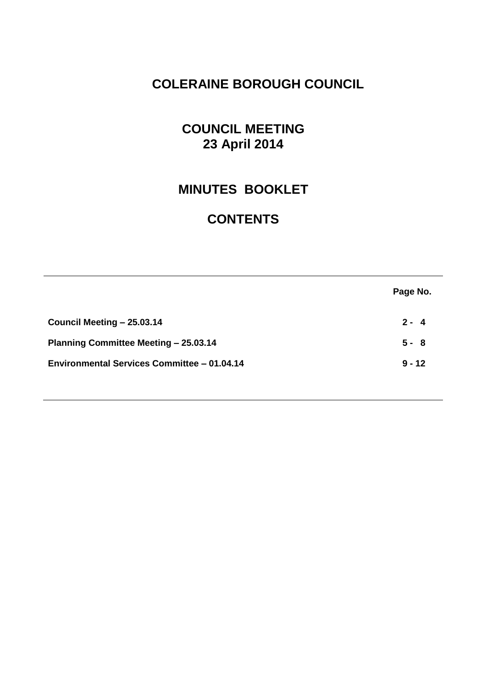# **COLERAINE BOROUGH COUNCIL**

# **COUNCIL MEETING 23 April 2014**

# **MINUTES BOOKLET**

# **CONTENTS**

|                                                    | Page No. |
|----------------------------------------------------|----------|
| Council Meeting - 25.03.14                         | $2 - 4$  |
| <b>Planning Committee Meeting - 25.03.14</b>       | $5 - 8$  |
| <b>Environmental Services Committee - 01.04.14</b> | $9 - 12$ |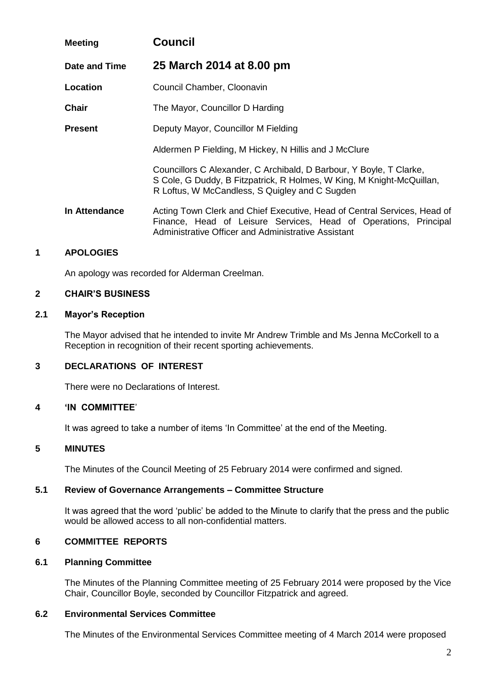| <b>Meeting</b> | <b>Council</b>                                                                                                                                                                                      |
|----------------|-----------------------------------------------------------------------------------------------------------------------------------------------------------------------------------------------------|
| Date and Time  | 25 March 2014 at 8.00 pm                                                                                                                                                                            |
| Location       | Council Chamber, Cloonavin                                                                                                                                                                          |
| <b>Chair</b>   | The Mayor, Councillor D Harding                                                                                                                                                                     |
| <b>Present</b> | Deputy Mayor, Councillor M Fielding                                                                                                                                                                 |
|                | Aldermen P Fielding, M Hickey, N Hillis and J McClure                                                                                                                                               |
|                | Councillors C Alexander, C Archibald, D Barbour, Y Boyle, T Clarke,<br>S Cole, G Duddy, B Fitzpatrick, R Holmes, W King, M Knight-McQuillan,<br>R Loftus, W McCandless, S Quigley and C Sugden      |
| In Attendance  | Acting Town Clerk and Chief Executive, Head of Central Services, Head of<br>Finance, Head of Leisure Services, Head of Operations, Principal<br>Administrative Officer and Administrative Assistant |

# **1 APOLOGIES**

An apology was recorded for Alderman Creelman.

# **2 CHAIR'S BUSINESS**

#### **2.1 Mayor's Reception**

The Mayor advised that he intended to invite Mr Andrew Trimble and Ms Jenna McCorkell to a Reception in recognition of their recent sporting achievements.

# **3 DECLARATIONS OF INTEREST**

There were no Declarations of Interest.

# **4 'IN COMMITTEE**'

It was agreed to take a number of items 'In Committee' at the end of the Meeting.

# **5 MINUTES**

The Minutes of the Council Meeting of 25 February 2014 were confirmed and signed.

# **5.1 Review of Governance Arrangements – Committee Structure**

It was agreed that the word 'public' be added to the Minute to clarify that the press and the public would be allowed access to all non-confidential matters.

# **6 COMMITTEE REPORTS**

# **6.1 Planning Committee**

The Minutes of the Planning Committee meeting of 25 February 2014 were proposed by the Vice Chair, Councillor Boyle, seconded by Councillor Fitzpatrick and agreed.

# **6.2 Environmental Services Committee**

The Minutes of the Environmental Services Committee meeting of 4 March 2014 were proposed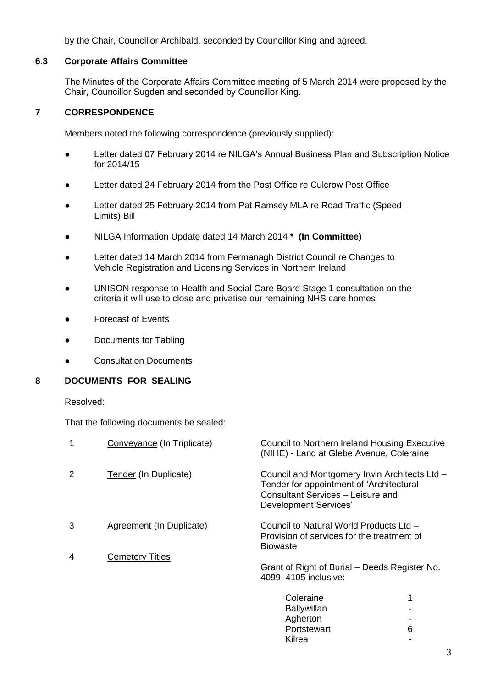by the Chair, Councillor Archibald, seconded by Councillor King and agreed.

# **6.3 Corporate Affairs Committee**

The Minutes of the Corporate Affairs Committee meeting of 5 March 2014 were proposed by the Chair, Councillor Sugden and seconded by Councillor King.

# **7 CORRESPONDENCE**

Members noted the following correspondence (previously supplied):

- Letter dated 07 February 2014 re NILGA's Annual Business Plan and Subscription Notice for 2014/15
- Letter dated 24 February 2014 from the Post Office re Culcrow Post Office
- Letter dated 25 February 2014 from Pat Ramsey MLA re Road Traffic (Speed Limits) Bill
- NILGA Information Update dated 14 March 2014 **\* (In Committee)**
- Letter dated 14 March 2014 from Fermanagh District Council re Changes to Vehicle Registration and Licensing Services in Northern Ireland
- UNISON response to Health and Social Care Board Stage 1 consultation on the criteria it will use to close and privatise our remaining NHS care homes
- **Forecast of Events**
- Documents for Tabling
- **Consultation Documents**

# **8 DOCUMENTS FOR SEALING**

Resolved:

That the following documents be sealed:

| 1 | Conveyance (In Triplicate) | <b>Council to Northern Ireland Housing Executive</b><br>(NIHE) - Land at Glebe Avenue, Coleraine                                                        |   |
|---|----------------------------|---------------------------------------------------------------------------------------------------------------------------------------------------------|---|
| 2 | Tender (In Duplicate)      | Council and Montgomery Irwin Architects Ltd -<br>Tender for appointment of 'Architectural<br>Consultant Services - Leisure and<br>Development Services' |   |
| 3 | Agreement (In Duplicate)   | Council to Natural World Products Ltd -<br>Provision of services for the treatment of<br><b>Biowaste</b>                                                |   |
| 4 | <b>Cemetery Titles</b>     |                                                                                                                                                         |   |
|   |                            | Grant of Right of Burial – Deeds Register No.<br>4099-4105 inclusive:                                                                                   |   |
|   |                            | Coleraine                                                                                                                                               |   |
|   |                            | <b>Ballywillan</b>                                                                                                                                      |   |
|   |                            | Agherton                                                                                                                                                |   |
|   |                            | Portstewart                                                                                                                                             | 6 |

**Kilrea**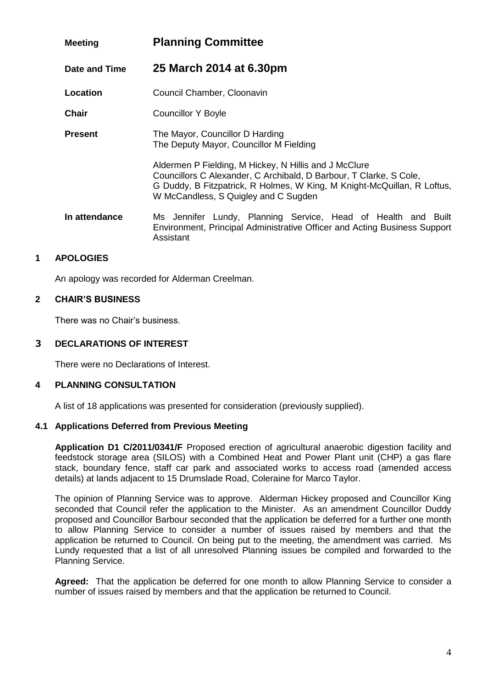| <b>Meeting</b> | <b>Planning Committee</b>                                                                                                                                                                                                                      |
|----------------|------------------------------------------------------------------------------------------------------------------------------------------------------------------------------------------------------------------------------------------------|
| Date and Time  | 25 March 2014 at 6.30pm                                                                                                                                                                                                                        |
| Location       | Council Chamber, Cloonavin                                                                                                                                                                                                                     |
| Chair          | <b>Councillor Y Boyle</b>                                                                                                                                                                                                                      |
| <b>Present</b> | The Mayor, Councillor D Harding<br>The Deputy Mayor, Councillor M Fielding                                                                                                                                                                     |
|                | Aldermen P Fielding, M Hickey, N Hillis and J McClure<br>Councillors C Alexander, C Archibald, D Barbour, T Clarke, S Cole,<br>G Duddy, B Fitzpatrick, R Holmes, W King, M Knight-McQuillan, R Loftus,<br>W McCandless, S Quigley and C Sugden |
| In attendance  | Ms Jennifer Lundy, Planning Service, Head of Health and Built<br>Environment, Principal Administrative Officer and Acting Business Support<br>Assistant                                                                                        |

# **1 APOLOGIES**

An apology was recorded for Alderman Creelman.

# **2 CHAIR'S BUSINESS**

There was no Chair's business.

# **3 DECLARATIONS OF INTEREST**

There were no Declarations of Interest.

# **4 PLANNING CONSULTATION**

A list of 18 applications was presented for consideration (previously supplied).

# **4.1 Applications Deferred from Previous Meeting**

**Application D1 C/2011/0341/F** Proposed erection of agricultural anaerobic digestion facility and feedstock storage area (SILOS) with a Combined Heat and Power Plant unit (CHP) a gas flare stack, boundary fence, staff car park and associated works to access road (amended access details) at lands adjacent to 15 Drumslade Road, Coleraine for Marco Taylor.

The opinion of Planning Service was to approve. Alderman Hickey proposed and Councillor King seconded that Council refer the application to the Minister. As an amendment Councillor Duddy proposed and Councillor Barbour seconded that the application be deferred for a further one month to allow Planning Service to consider a number of issues raised by members and that the application be returned to Council. On being put to the meeting, the amendment was carried. Ms Lundy requested that a list of all unresolved Planning issues be compiled and forwarded to the Planning Service.

**Agreed:** That the application be deferred for one month to allow Planning Service to consider a number of issues raised by members and that the application be returned to Council.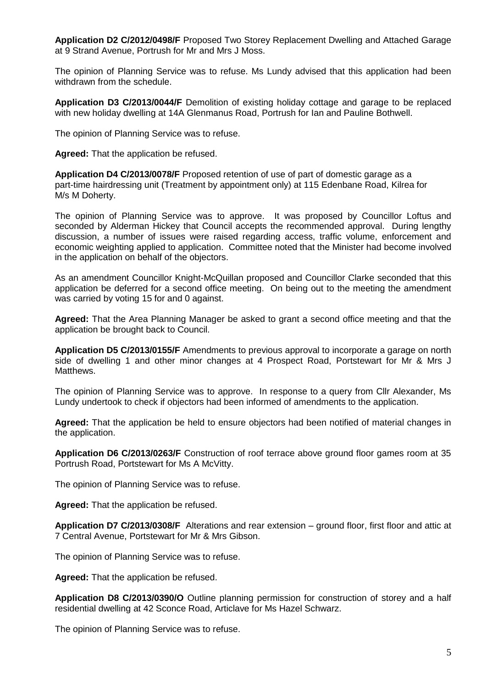**Application D2 C/2012/0498/F** Proposed Two Storey Replacement Dwelling and Attached Garage at 9 Strand Avenue, Portrush for Mr and Mrs J Moss.

The opinion of Planning Service was to refuse. Ms Lundy advised that this application had been withdrawn from the schedule.

**Application D3 C/2013/0044/F** Demolition of existing holiday cottage and garage to be replaced with new holiday dwelling at 14A Glenmanus Road, Portrush for Ian and Pauline Bothwell.

The opinion of Planning Service was to refuse.

**Agreed:** That the application be refused.

**Application D4 C/2013/0078/F** Proposed retention of use of part of domestic garage as a part-time hairdressing unit (Treatment by appointment only) at 115 Edenbane Road, Kilrea for M/s M Doherty.

The opinion of Planning Service was to approve. It was proposed by Councillor Loftus and seconded by Alderman Hickey that Council accepts the recommended approval. During lengthy discussion, a number of issues were raised regarding access, traffic volume, enforcement and economic weighting applied to application. Committee noted that the Minister had become involved in the application on behalf of the objectors.

As an amendment Councillor Knight-McQuillan proposed and Councillor Clarke seconded that this application be deferred for a second office meeting. On being out to the meeting the amendment was carried by voting 15 for and 0 against.

**Agreed:** That the Area Planning Manager be asked to grant a second office meeting and that the application be brought back to Council.

**Application D5 C/2013/0155/F** Amendments to previous approval to incorporate a garage on north side of dwelling 1 and other minor changes at 4 Prospect Road, Portstewart for Mr & Mrs J Matthews.

The opinion of Planning Service was to approve. In response to a query from Cllr Alexander, Ms Lundy undertook to check if objectors had been informed of amendments to the application.

**Agreed:** That the application be held to ensure objectors had been notified of material changes in the application.

**Application D6 C/2013/0263/F** Construction of roof terrace above ground floor games room at 35 Portrush Road, Portstewart for Ms A McVitty.

The opinion of Planning Service was to refuse.

**Agreed:** That the application be refused.

**Application D7 C/2013/0308/F** Alterations and rear extension – ground floor, first floor and attic at 7 Central Avenue, Portstewart for Mr & Mrs Gibson.

The opinion of Planning Service was to refuse.

**Agreed:** That the application be refused.

**Application D8 C/2013/0390/O** Outline planning permission for construction of storey and a half residential dwelling at 42 Sconce Road, Articlave for Ms Hazel Schwarz.

The opinion of Planning Service was to refuse.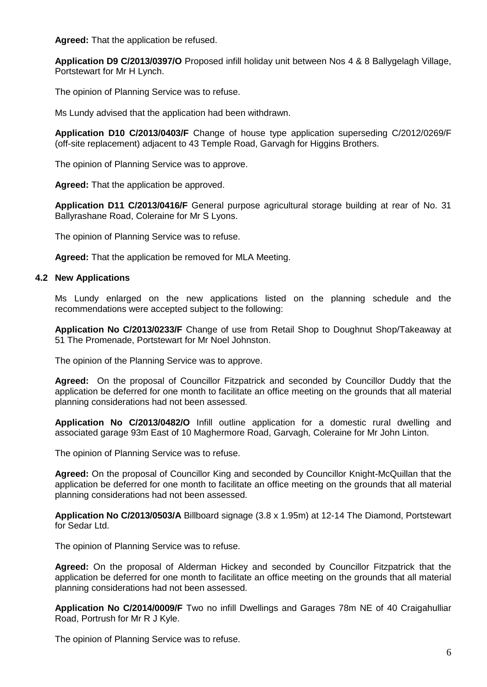**Agreed:** That the application be refused.

**Application D9 C/2013/0397/O** Proposed infill holiday unit between Nos 4 & 8 Ballygelagh Village, Portstewart for Mr H Lynch.

The opinion of Planning Service was to refuse.

Ms Lundy advised that the application had been withdrawn.

**Application D10 C/2013/0403/F** Change of house type application superseding C/2012/0269/F (off-site replacement) adjacent to 43 Temple Road, Garvagh for Higgins Brothers.

The opinion of Planning Service was to approve.

**Agreed:** That the application be approved.

**Application D11 C/2013/0416/F** General purpose agricultural storage building at rear of No. 31 Ballyrashane Road, Coleraine for Mr S Lyons.

The opinion of Planning Service was to refuse.

**Agreed:** That the application be removed for MLA Meeting.

#### **4.2 New Applications**

Ms Lundy enlarged on the new applications listed on the planning schedule and the recommendations were accepted subject to the following:

**Application No C/2013/0233/F** Change of use from Retail Shop to Doughnut Shop/Takeaway at 51 The Promenade, Portstewart for Mr Noel Johnston.

The opinion of the Planning Service was to approve.

**Agreed:** On the proposal of Councillor Fitzpatrick and seconded by Councillor Duddy that the application be deferred for one month to facilitate an office meeting on the grounds that all material planning considerations had not been assessed.

**Application No C/2013/0482/O** Infill outline application for a domestic rural dwelling and associated garage 93m East of 10 Maghermore Road, Garvagh, Coleraine for Mr John Linton.

The opinion of Planning Service was to refuse.

**Agreed:** On the proposal of Councillor King and seconded by Councillor Knight-McQuillan that the application be deferred for one month to facilitate an office meeting on the grounds that all material planning considerations had not been assessed.

**Application No C/2013/0503/A** Billboard signage (3.8 x 1.95m) at 12-14 The Diamond, Portstewart for Sedar Ltd.

The opinion of Planning Service was to refuse.

**Agreed:** On the proposal of Alderman Hickey and seconded by Councillor Fitzpatrick that the application be deferred for one month to facilitate an office meeting on the grounds that all material planning considerations had not been assessed.

**Application No C/2014/0009/F** Two no infill Dwellings and Garages 78m NE of 40 Craigahulliar Road, Portrush for Mr R J Kyle.

The opinion of Planning Service was to refuse.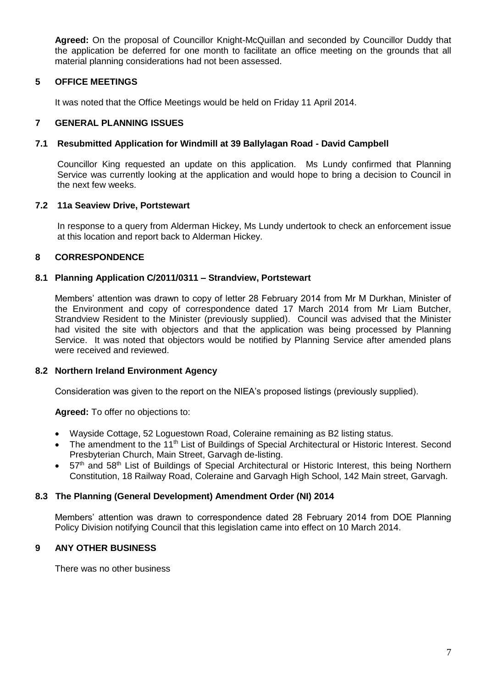**Agreed:** On the proposal of Councillor Knight-McQuillan and seconded by Councillor Duddy that the application be deferred for one month to facilitate an office meeting on the grounds that all material planning considerations had not been assessed.

# **5 OFFICE MEETINGS**

It was noted that the Office Meetings would be held on Friday 11 April 2014.

# **7 GENERAL PLANNING ISSUES**

# **7.1 Resubmitted Application for Windmill at 39 Ballylagan Road - David Campbell**

Councillor King requested an update on this application. Ms Lundy confirmed that Planning Service was currently looking at the application and would hope to bring a decision to Council in the next few weeks.

# **7.2 11a Seaview Drive, Portstewart**

In response to a query from Alderman Hickey, Ms Lundy undertook to check an enforcement issue at this location and report back to Alderman Hickey.

# **8 CORRESPONDENCE**

#### **8.1 Planning Application C/2011/0311 – Strandview, Portstewart**

Members' attention was drawn to copy of letter 28 February 2014 from Mr M Durkhan, Minister of the Environment and copy of correspondence dated 17 March 2014 from Mr Liam Butcher, Strandview Resident to the Minister (previously supplied). Council was advised that the Minister had visited the site with objectors and that the application was being processed by Planning Service. It was noted that objectors would be notified by Planning Service after amended plans were received and reviewed.

# **8.2 Northern Ireland Environment Agency**

Consideration was given to the report on the NIEA's proposed listings (previously supplied).

**Agreed:** To offer no objections to:

- Wayside Cottage, 52 Loguestown Road, Coleraine remaining as B2 listing status.
- The amendment to the 11<sup>th</sup> List of Buildings of Special Architectural or Historic Interest. Second Presbyterian Church, Main Street, Garvagh de-listing.
- 57<sup>th</sup> and 58<sup>th</sup> List of Buildings of Special Architectural or Historic Interest, this being Northern Constitution, 18 Railway Road, Coleraine and Garvagh High School, 142 Main street, Garvagh.

# **8.3 The Planning (General Development) Amendment Order (NI) 2014**

Members' attention was drawn to correspondence dated 28 February 2014 from DOE Planning Policy Division notifying Council that this legislation came into effect on 10 March 2014.

# **9 ANY OTHER BUSINESS**

There was no other business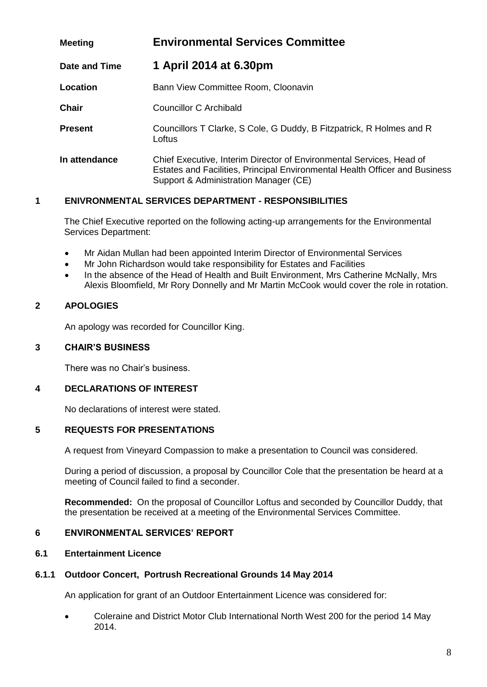| <b>Meeting</b>       | <b>Environmental Services Committee</b>                                                                                                                                                      |  |
|----------------------|----------------------------------------------------------------------------------------------------------------------------------------------------------------------------------------------|--|
| <b>Date and Time</b> | 1 April 2014 at 6.30pm                                                                                                                                                                       |  |
| Location             | Bann View Committee Room, Cloonavin                                                                                                                                                          |  |
| <b>Chair</b>         | Councillor C Archibald                                                                                                                                                                       |  |
| <b>Present</b>       | Councillors T Clarke, S Cole, G Duddy, B Fitzpatrick, R Holmes and R<br>Loftus                                                                                                               |  |
| In attendance        | Chief Executive, Interim Director of Environmental Services, Head of<br>Estates and Facilities, Principal Environmental Health Officer and Business<br>Support & Administration Manager (CE) |  |

# **1 ENIVRONMENTAL SERVICES DEPARTMENT - RESPONSIBILITIES**

The Chief Executive reported on the following acting-up arrangements for the Environmental Services Department:

- Mr Aidan Mullan had been appointed Interim Director of Environmental Services
- Mr John Richardson would take responsibility for Estates and Facilities
- In the absence of the Head of Health and Built Environment, Mrs Catherine McNally, Mrs Alexis Bloomfield, Mr Rory Donnelly and Mr Martin McCook would cover the role in rotation.

# **2 APOLOGIES**

An apology was recorded for Councillor King.

# **3 CHAIR'S BUSINESS**

There was no Chair's business.

# **4 DECLARATIONS OF INTEREST**

No declarations of interest were stated.

# **5 REQUESTS FOR PRESENTATIONS**

A request from Vineyard Compassion to make a presentation to Council was considered.

During a period of discussion, a proposal by Councillor Cole that the presentation be heard at a meeting of Council failed to find a seconder.

**Recommended:** On the proposal of Councillor Loftus and seconded by Councillor Duddy, that the presentation be received at a meeting of the Environmental Services Committee.

# **6 ENVIRONMENTAL SERVICES' REPORT**

# **6.1 Entertainment Licence**

# **6.1.1 Outdoor Concert, Portrush Recreational Grounds 14 May 2014**

An application for grant of an Outdoor Entertainment Licence was considered for:

 Coleraine and District Motor Club International North West 200 for the period 14 May 2014.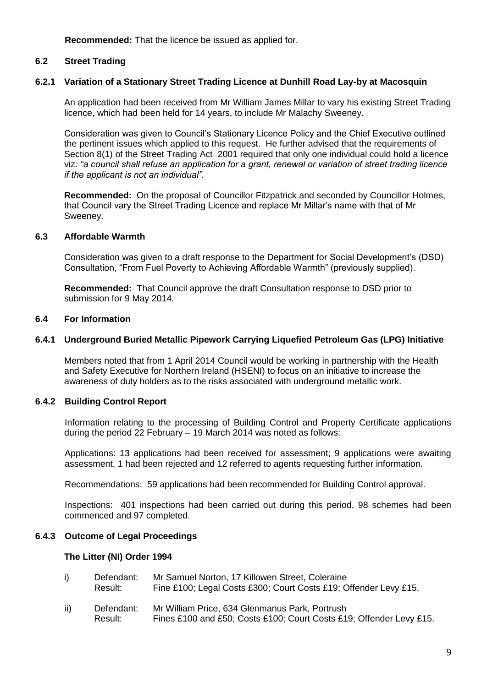**Recommended:** That the licence be issued as applied for.

# **6.2 Street Trading**

# **6.2.1 Variation of a Stationary Street Trading Licence at Dunhill Road Lay-by at Macosquin**

An application had been received from Mr William James Millar to vary his existing Street Trading licence, which had been held for 14 years, to include Mr Malachy Sweeney.

Consideration was given to Council's Stationary Licence Policy and the Chief Executive outlined the pertinent issues which applied to this request. He further advised that the requirements of Section 8(1) of the Street Trading Act 2001 required that only one individual could hold a licence viz*: "a council shall refuse an application for a grant, renewal or variation of street trading licence if the applicant is not an individual".*

**Recommended:** On the proposal of Councillor Fitzpatrick and seconded by Councillor Holmes, that Council vary the Street Trading Licence and replace Mr Millar's name with that of Mr Sweeney.

# **6.3 Affordable Warmth**

Consideration was given to a draft response to the Department for Social Development's (DSD) Consultation, "From Fuel Poverty to Achieving Affordable Warmth" (previously supplied).

**Recommended:** That Council approve the draft Consultation response to DSD prior to submission for 9 May 2014.

#### **6.4 For Information**

#### **6.4.1 Underground Buried Metallic Pipework Carrying Liquefied Petroleum Gas (LPG) Initiative**

Members noted that from 1 April 2014 Council would be working in partnership with the Health and Safety Executive for Northern Ireland (HSENI) to focus on an initiative to increase the awareness of duty holders as to the risks associated with underground metallic work.

# **6.4.2 Building Control Report**

Information relating to the processing of Building Control and Property Certificate applications during the period 22 February – 19 March 2014 was noted as follows:

Applications: 13 applications had been received for assessment; 9 applications were awaiting assessment, 1 had been rejected and 12 referred to agents requesting further information.

Recommendations: 59 applications had been recommended for Building Control approval.

Inspections: 401 inspections had been carried out during this period, 98 schemes had been commenced and 97 completed.

# **6.4.3 Outcome of Legal Proceedings**

#### **The Litter (NI) Order 1994**

| Defendant: | Mr Samuel Norton, 17 Killowen Street, Coleraine                  |
|------------|------------------------------------------------------------------|
| Result:    | Fine £100; Legal Costs £300; Court Costs £19; Offender Levy £15. |

ii) Defendant: Mr William Price, 634 Glenmanus Park, Portrush Result: Fines £100 and £50; Costs £100; Court Costs £19; Offender Levy £15.